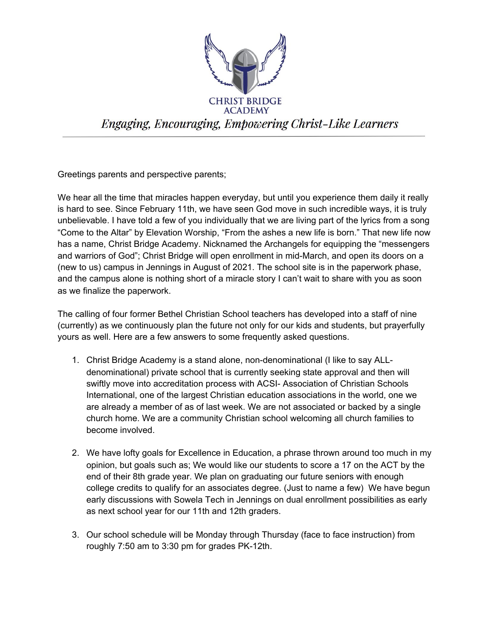

Greetings parents and perspective parents;

We hear all the time that miracles happen everyday, but until you experience them daily it really is hard to see. Since February 11th, we have seen God move in such incredible ways, it is truly unbelievable. I have told a few of you individually that we are living part of the lyrics from a song "Come to the Altar" by Elevation Worship, "From the ashes a new life is born." That new life now has a name, Christ Bridge Academy. Nicknamed the Archangels for equipping the "messengers and warriors of God"; Christ Bridge will open enrollment in mid-March, and open its doors on a (new to us) campus in Jennings in August of 2021. The school site is in the paperwork phase, and the campus alone is nothing short of a miracle story I can't wait to share with you as soon as we finalize the paperwork.

The calling of four former Bethel Christian School teachers has developed into a staff of nine (currently) as we continuously plan the future not only for our kids and students, but prayerfully yours as well. Here are a few answers to some frequently asked questions.

- 1. Christ Bridge Academy is a stand alone, non-denominational (I like to say ALLdenominational) private school that is currently seeking state approval and then will swiftly move into accreditation process with ACSI- Association of Christian Schools International, one of the largest Christian education associations in the world, one we are already a member of as of last week. We are not associated or backed by a single church home. We are a community Christian school welcoming all church families to become involved.
- 2. We have lofty goals for Excellence in Education, a phrase thrown around too much in my opinion, but goals such as; We would like our students to score a 17 on the ACT by the end of their 8th grade year. We plan on graduating our future seniors with enough college credits to qualify for an associates degree. (Just to name a few) We have begun early discussions with Sowela Tech in Jennings on dual enrollment possibilities as early as next school year for our 11th and 12th graders.
- 3. Our school schedule will be Monday through Thursday (face to face instruction) from roughly 7:50 am to 3:30 pm for grades PK-12th.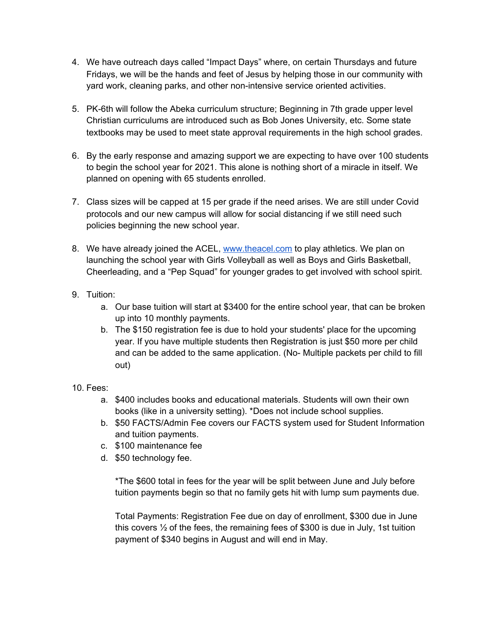- 4. We have outreach days called "Impact Days" where, on certain Thursdays and future Fridays, we will be the hands and feet of Jesus by helping those in our community with yard work, cleaning parks, and other non-intensive service oriented activities.
- 5. PK-6th will follow the Abeka curriculum structure; Beginning in 7th grade upper level Christian curriculums are introduced such as Bob Jones University, etc. Some state textbooks may be used to meet state approval requirements in the high school grades.
- 6. By the early response and amazing support we are expecting to have over 100 students to begin the school year for 2021. This alone is nothing short of a miracle in itself. We planned on opening with 65 students enrolled.
- 7. Class sizes will be capped at 15 per grade if the need arises. We are still under Covid protocols and our new campus will allow for social distancing if we still need such policies beginning the new school year.
- 8. We have already joined the ACEL, [www.theacel.com](http://www.theacel.com/) to play athletics. We plan on launching the school year with Girls Volleyball as well as Boys and Girls Basketball, Cheerleading, and a "Pep Squad" for younger grades to get involved with school spirit.
- 9. Tuition:
	- a. Our base tuition will start at \$3400 for the entire school year, that can be broken up into 10 monthly payments.
	- b. The \$150 registration fee is due to hold your students' place for the upcoming year. If you have multiple students then Registration is just \$50 more per child and can be added to the same application. (No- Multiple packets per child to fill out)
- 10. Fees:
	- a. \$400 includes books and educational materials. Students will own their own books (like in a university setting). \*Does not include school supplies.
	- b. \$50 FACTS/Admin Fee covers our FACTS system used for Student Information and tuition payments.
	- c. \$100 maintenance fee
	- d. \$50 technology fee.

\*The \$600 total in fees for the year will be split between June and July before tuition payments begin so that no family gets hit with lump sum payments due.

Total Payments: Registration Fee due on day of enrollment, \$300 due in June this covers ½ of the fees, the remaining fees of \$300 is due in July, 1st tuition payment of \$340 begins in August and will end in May.